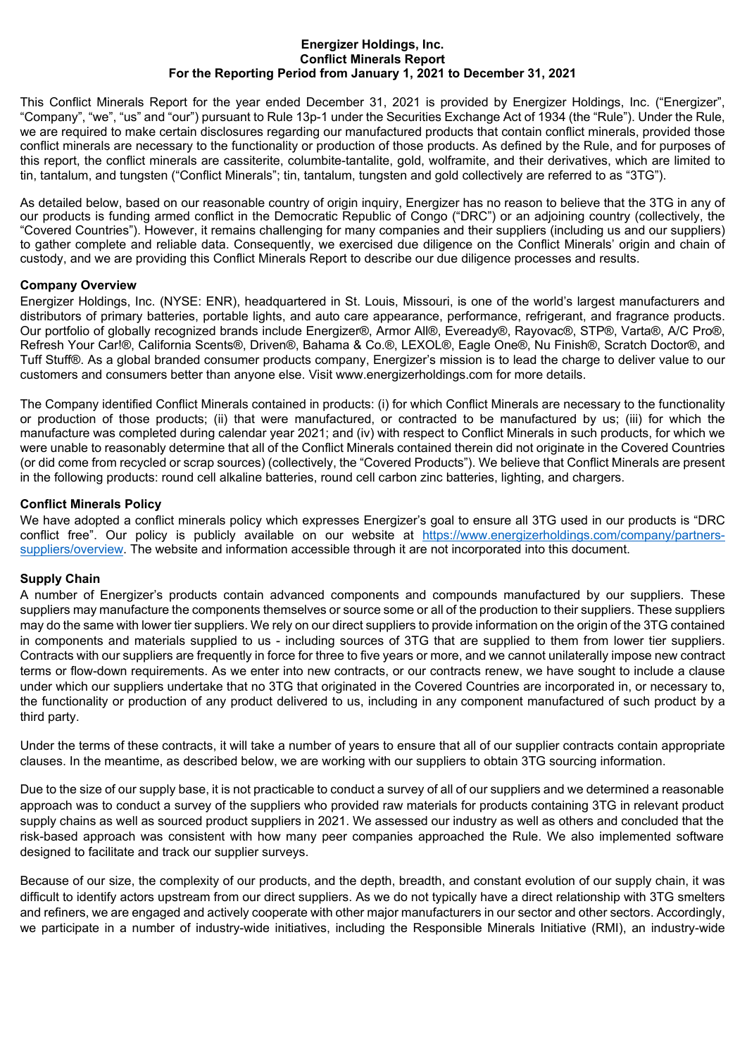#### **Energizer Holdings, Inc. Conflict Minerals Report For the Reporting Period from January 1, 2021 to December 31, 2021**

This Conflict Minerals Report for the year ended December 31, 2021 is provided by Energizer Holdings, Inc. ("Energizer", "Company", "we", "us" and "our") pursuant to Rule 13p-1 under the Securities Exchange Act of 1934 (the "Rule"). Under the Rule, we are required to make certain disclosures regarding our manufactured products that contain conflict minerals, provided those conflict minerals are necessary to the functionality or production of those products. As defined by the Rule, and for purposes of this report, the conflict minerals are cassiterite, columbite-tantalite, gold, wolframite, and their derivatives, which are limited to tin, tantalum, and tungsten ("Conflict Minerals"; tin, tantalum, tungsten and gold collectively are referred to as "3TG").

As detailed below, based on our reasonable country of origin inquiry, Energizer has no reason to believe that the 3TG in any of our products is funding armed conflict in the Democratic Republic of Congo ("DRC") or an adjoining country (collectively, the "Covered Countries"). However, it remains challenging for many companies and their suppliers (including us and our suppliers) to gather complete and reliable data. Consequently, we exercised due diligence on the Conflict Minerals' origin and chain of custody, and we are providing this Conflict Minerals Report to describe our due diligence processes and results.

#### **Company Overview**

Energizer Holdings, Inc. (NYSE: ENR), headquartered in St. Louis, Missouri, is one of the world's largest manufacturers and distributors of primary batteries, portable lights, and auto care appearance, performance, refrigerant, and fragrance products. Our portfolio of globally recognized brands include Energizer®, Armor All®, Eveready®, Rayovac®, STP®, Varta®, A/C Pro®, Refresh Your Car!®, California Scents®, Driven®, Bahama & Co.®, LEXOL®, Eagle One®, Nu Finish®, Scratch Doctor®, and Tuff Stuff®. As a global branded consumer products company, Energizer's mission is to lead the charge to deliver value to our customers and consumers better than anyone else. Visit www.energizerholdings.com for more details.

The Company identified Conflict Minerals contained in products: (i) for which Conflict Minerals are necessary to the functionality or production of those products; (ii) that were manufactured, or contracted to be manufactured by us; (iii) for which the manufacture was completed during calendar year 2021; and (iv) with respect to Conflict Minerals in such products, for which we were unable to reasonably determine that all of the Conflict Minerals contained therein did not originate in the Covered Countries (or did come from recycled or scrap sources) (collectively, the "Covered Products"). We believe that Conflict Minerals are present in the following products: round cell alkaline batteries, round cell carbon zinc batteries, lighting, and chargers.

#### **Conflict Minerals Policy**

We have adopted a conflict minerals policy which expresses Energizer's goal to ensure all 3TG used in our products is "DRC conflict free". Our policy is publicly available on our website at [https://www.energizerholdings.com/company/partners](https://www.energizerholdings.com/company/partners-suppliers/overview)[suppliers/overview.](https://www.energizerholdings.com/company/partners-suppliers/overview) The website and information accessible through it are not incorporated into this document.

## **Supply Chain**

A number of Energizer's products contain advanced components and compounds manufactured by our suppliers. These suppliers may manufacture the components themselves or source some or all of the production to their suppliers. These suppliers may do the same with lower tier suppliers. We rely on our direct suppliers to provide information on the origin of the 3TG contained in components and materials supplied to us - including sources of 3TG that are supplied to them from lower tier suppliers. Contracts with our suppliers are frequently in force for three to five years or more, and we cannot unilaterally impose new contract terms or flow-down requirements. As we enter into new contracts, or our contracts renew, we have sought to include a clause under which our suppliers undertake that no 3TG that originated in the Covered Countries are incorporated in, or necessary to, the functionality or production of any product delivered to us, including in any component manufactured of such product by a third party.

Under the terms of these contracts, it will take a number of years to ensure that all of our supplier contracts contain appropriate clauses. In the meantime, as described below, we are working with our suppliers to obtain 3TG sourcing information.

Due to the size of our supply base, it is not practicable to conduct a survey of all of our suppliers and we determined a reasonable approach was to conduct a survey of the suppliers who provided raw materials for products containing 3TG in relevant product supply chains as well as sourced product suppliers in 2021. We assessed our industry as well as others and concluded that the risk-based approach was consistent with how many peer companies approached the Rule. We also implemented software designed to facilitate and track our supplier surveys.

Because of our size, the complexity of our products, and the depth, breadth, and constant evolution of our supply chain, it was difficult to identify actors upstream from our direct suppliers. As we do not typically have a direct relationship with 3TG smelters and refiners, we are engaged and actively cooperate with other major manufacturers in our sector and other sectors. Accordingly, we participate in a number of industry-wide initiatives, including the Responsible Minerals Initiative (RMI), an industry-wide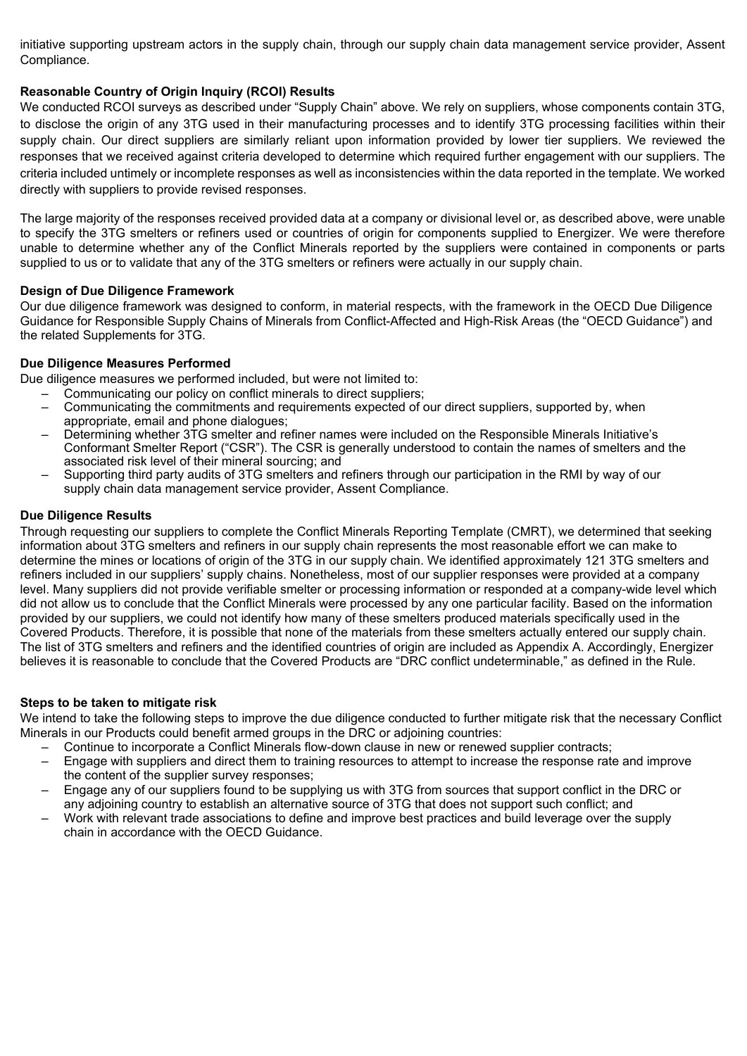initiative supporting upstream actors in the supply chain, through our supply chain data management service provider, Assent Compliance.

## **Reasonable Country of Origin Inquiry (RCOI) Results**

We conducted RCOI surveys as described under "Supply Chain" above. We rely on suppliers, whose components contain 3TG, to disclose the origin of any 3TG used in their manufacturing processes and to identify 3TG processing facilities within their supply chain. Our direct suppliers are similarly reliant upon information provided by lower tier suppliers. We reviewed the responses that we received against criteria developed to determine which required further engagement with our suppliers. The criteria included untimely or incomplete responses as well as inconsistencies within the data reported in the template. We worked directly with suppliers to provide revised responses.

The large majority of the responses received provided data at a company or divisional level or, as described above, were unable to specify the 3TG smelters or refiners used or countries of origin for components supplied to Energizer. We were therefore unable to determine whether any of the Conflict Minerals reported by the suppliers were contained in components or parts supplied to us or to validate that any of the 3TG smelters or refiners were actually in our supply chain.

## **Design of Due Diligence Framework**

Our due diligence framework was designed to conform, in material respects, with the framework in the OECD Due Diligence Guidance for Responsible Supply Chains of Minerals from Conflict-Affected and High-Risk Areas (the "OECD Guidance") and the related Supplements for 3TG.

## **Due Diligence Measures Performed**

Due diligence measures we performed included, but were not limited to:

- Communicating our policy on conflict minerals to direct suppliers;
- Communicating the commitments and requirements expected of our direct suppliers, supported by, when appropriate, email and phone dialogues;
- Determining whether 3TG smelter and refiner names were included on the Responsible Minerals Initiative's Conformant Smelter Report ("CSR"). The CSR is generally understood to contain the names of smelters and the associated risk level of their mineral sourcing; and
- Supporting third party audits of 3TG smelters and refiners through our participation in the RMI by way of our supply chain data management service provider, Assent Compliance.

## **Due Diligence Results**

Through requesting our suppliers to complete the Conflict Minerals Reporting Template (CMRT), we determined that seeking information about 3TG smelters and refiners in our supply chain represents the most reasonable effort we can make to determine the mines or locations of origin of the 3TG in our supply chain. We identified approximately 121 3TG smelters and refiners included in our suppliers' supply chains. Nonetheless, most of our supplier responses were provided at a company level. Many suppliers did not provide verifiable smelter or processing information or responded at a company-wide level which did not allow us to conclude that the Conflict Minerals were processed by any one particular facility. Based on the information provided by our suppliers, we could not identify how many of these smelters produced materials specifically used in the Covered Products. Therefore, it is possible that none of the materials from these smelters actually entered our supply chain. The list of 3TG smelters and refiners and the identified countries of origin are included as Appendix A. Accordingly, Energizer believes it is reasonable to conclude that the Covered Products are "DRC conflict undeterminable," as defined in the Rule.

## **Steps to be taken to mitigate risk**

We intend to take the following steps to improve the due diligence conducted to further mitigate risk that the necessary Conflict Minerals in our Products could benefit armed groups in the DRC or adjoining countries:

- Continue to incorporate a Conflict Minerals flow-down clause in new or renewed supplier contracts;
- Engage with suppliers and direct them to training resources to attempt to increase the response rate and improve the content of the supplier survey responses;
- Engage any of our suppliers found to be supplying us with 3TG from sources that support conflict in the DRC or any adjoining country to establish an alternative source of 3TG that does not support such conflict; and
- Work with relevant trade associations to define and improve best practices and build leverage over the supply chain in accordance with the OECD Guidance.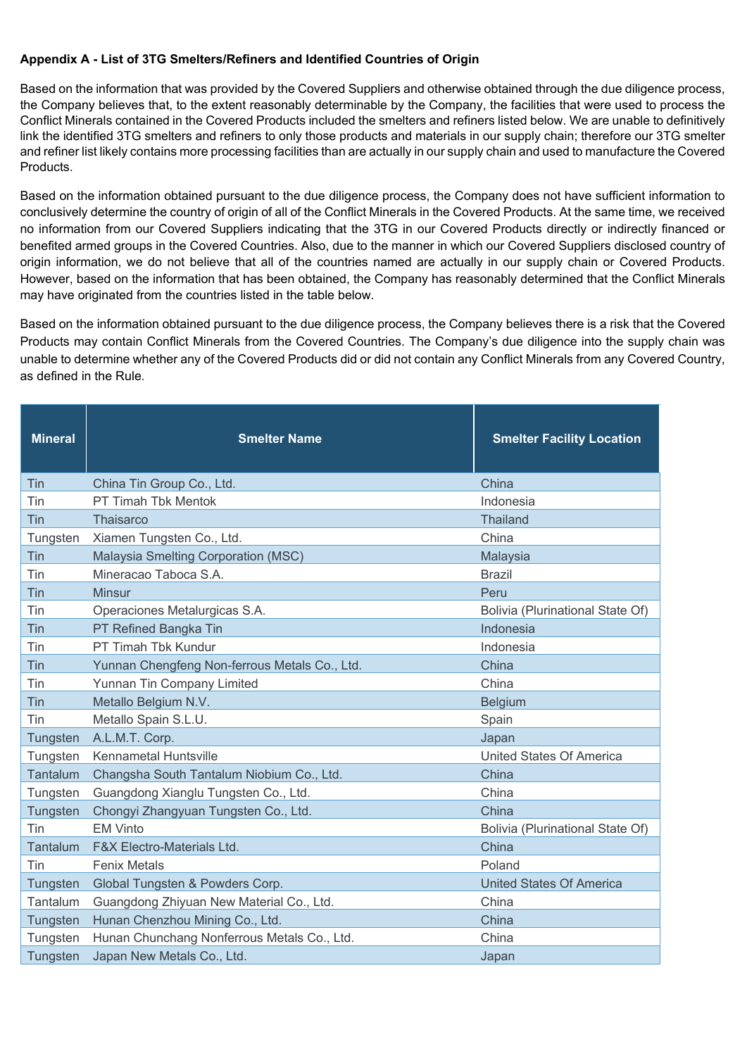# **Appendix A - List of 3TG Smelters/Refiners and Identified Countries of Origin**

Based on the information that was provided by the Covered Suppliers and otherwise obtained through the due diligence process, the Company believes that, to the extent reasonably determinable by the Company, the facilities that were used to process the Conflict Minerals contained in the Covered Products included the smelters and refiners listed below. We are unable to definitively link the identified 3TG smelters and refiners to only those products and materials in our supply chain; therefore our 3TG smelter and refiner list likely contains more processing facilities than are actually in our supply chain and used to manufacture the Covered Products.

Based on the information obtained pursuant to the due diligence process, the Company does not have sufficient information to conclusively determine the country of origin of all of the Conflict Minerals in the Covered Products. At the same time, we received no information from our Covered Suppliers indicating that the 3TG in our Covered Products directly or indirectly financed or benefited armed groups in the Covered Countries. Also, due to the manner in which our Covered Suppliers disclosed country of origin information, we do not believe that all of the countries named are actually in our supply chain or Covered Products. However, based on the information that has been obtained, the Company has reasonably determined that the Conflict Minerals may have originated from the countries listed in the table below.

Based on the information obtained pursuant to the due diligence process, the Company believes there is a risk that the Covered Products may contain Conflict Minerals from the Covered Countries. The Company's due diligence into the supply chain was unable to determine whether any of the Covered Products did or did not contain any Conflict Minerals from any Covered Country, as defined in the Rule.

| <b>Mineral</b> | <b>Smelter Name</b>                           | <b>Smelter Facility Location</b> |
|----------------|-----------------------------------------------|----------------------------------|
| Tin            | China Tin Group Co., Ltd.                     | China                            |
| Tin            | PT Timah Tbk Mentok                           | Indonesia                        |
| Tin            | Thaisarco                                     | <b>Thailand</b>                  |
| Tungsten       | Xiamen Tungsten Co., Ltd.                     | China                            |
| Tin            | Malaysia Smelting Corporation (MSC)           | Malaysia                         |
| Tin            | Mineracao Taboca S.A.                         | <b>Brazil</b>                    |
| Tin            | <b>Minsur</b>                                 | Peru                             |
| Tin            | Operaciones Metalurgicas S.A.                 | Bolivia (Plurinational State Of) |
| Tin            | PT Refined Bangka Tin                         | Indonesia                        |
| Tin            | PT Timah Tbk Kundur                           | Indonesia                        |
| Tin            | Yunnan Chengfeng Non-ferrous Metals Co., Ltd. | China                            |
| Tin            | Yunnan Tin Company Limited                    | China                            |
| Tin            | Metallo Belgium N.V.                          | <b>Belgium</b>                   |
| Tin            | Metallo Spain S.L.U.                          | Spain                            |
| Tungsten       | A.L.M.T. Corp.                                | Japan                            |
| Tungsten       | <b>Kennametal Huntsville</b>                  | United States Of America         |
| Tantalum       | Changsha South Tantalum Niobium Co., Ltd.     | China                            |
| Tungsten       | Guangdong Xianglu Tungsten Co., Ltd.          | China                            |
| Tungsten       | Chongyi Zhangyuan Tungsten Co., Ltd.          | China                            |
| Tin            | <b>EM Vinto</b>                               | Bolivia (Plurinational State Of) |
| Tantalum       | F&X Electro-Materials Ltd.                    | China                            |
| Tin            | <b>Fenix Metals</b>                           | Poland                           |
| Tungsten       | Global Tungsten & Powders Corp.               | <b>United States Of America</b>  |
| Tantalum       | Guangdong Zhiyuan New Material Co., Ltd.      | China                            |
| Tungsten       | Hunan Chenzhou Mining Co., Ltd.               | China                            |
| Tungsten       | Hunan Chunchang Nonferrous Metals Co., Ltd.   | China                            |
| Tungsten       | Japan New Metals Co., Ltd.                    | Japan                            |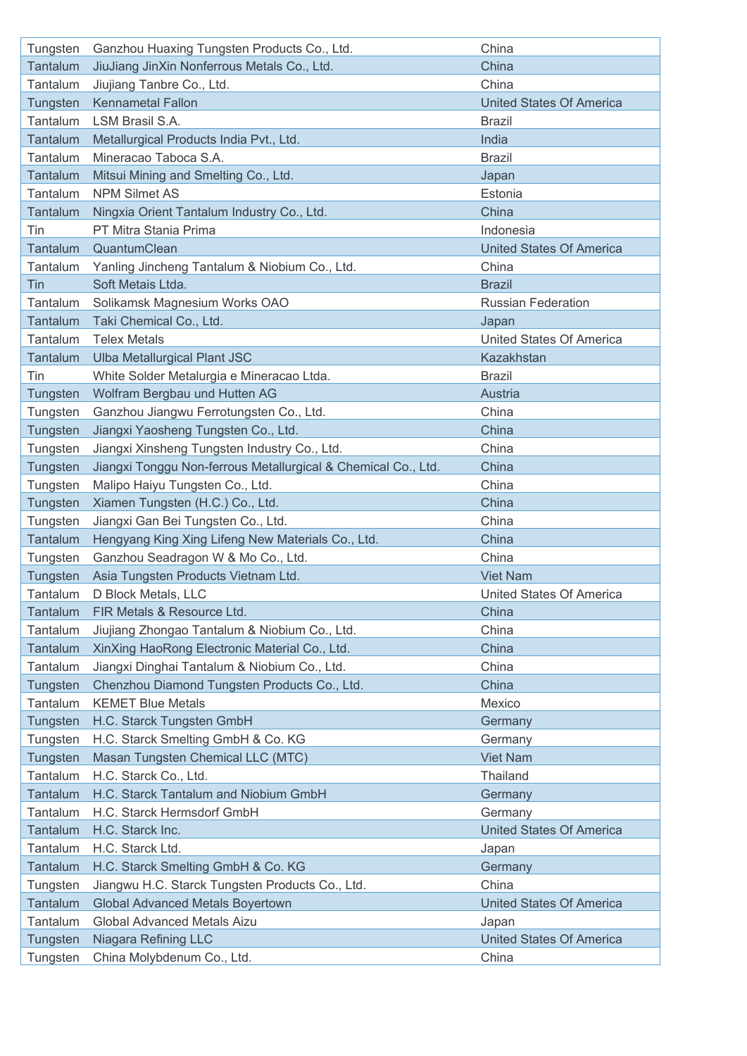| Tungsten        | Ganzhou Huaxing Tungsten Products Co., Ltd.                   | China                           |
|-----------------|---------------------------------------------------------------|---------------------------------|
| Tantalum        | JiuJiang JinXin Nonferrous Metals Co., Ltd.                   | China                           |
| Tantalum        | Jiujiang Tanbre Co., Ltd.                                     | China                           |
| Tungsten        | <b>Kennametal Fallon</b>                                      | <b>United States Of America</b> |
| Tantalum        | LSM Brasil S.A.                                               | <b>Brazil</b>                   |
| Tantalum        | Metallurgical Products India Pvt., Ltd.                       | India                           |
| Tantalum        | Mineracao Taboca S.A.                                         | <b>Brazil</b>                   |
| Tantalum        | Mitsui Mining and Smelting Co., Ltd.                          | Japan                           |
| Tantalum        | <b>NPM Silmet AS</b>                                          | Estonia                         |
| Tantalum        | Ningxia Orient Tantalum Industry Co., Ltd.                    | China                           |
| Tin             | PT Mitra Stania Prima                                         | Indonesia                       |
| Tantalum        | QuantumClean                                                  | <b>United States Of America</b> |
| Tantalum        | Yanling Jincheng Tantalum & Niobium Co., Ltd.                 | China                           |
| Tin             | Soft Metais Ltda.                                             | <b>Brazil</b>                   |
| Tantalum        | Solikamsk Magnesium Works OAO                                 | <b>Russian Federation</b>       |
| Tantalum        | Taki Chemical Co., Ltd.                                       | Japan                           |
| Tantalum        | <b>Telex Metals</b>                                           | <b>United States Of America</b> |
| <b>Tantalum</b> | <b>Ulba Metallurgical Plant JSC</b>                           | Kazakhstan                      |
| Tin             | White Solder Metalurgia e Mineracao Ltda.                     | <b>Brazil</b>                   |
| Tungsten        | Wolfram Bergbau und Hutten AG                                 | Austria                         |
| Tungsten        | Ganzhou Jiangwu Ferrotungsten Co., Ltd.                       | China                           |
| Tungsten        | Jiangxi Yaosheng Tungsten Co., Ltd.                           | China                           |
| Tungsten        | Jiangxi Xinsheng Tungsten Industry Co., Ltd.                  | China                           |
| Tungsten        | Jiangxi Tonggu Non-ferrous Metallurgical & Chemical Co., Ltd. | China                           |
| Tungsten        | Malipo Haiyu Tungsten Co., Ltd.                               | China                           |
| Tungsten        | Xiamen Tungsten (H.C.) Co., Ltd.                              | China                           |
| Tungsten        | Jiangxi Gan Bei Tungsten Co., Ltd.                            | China                           |
| Tantalum        | Hengyang King Xing Lifeng New Materials Co., Ltd.             | China                           |
| Tungsten        | Ganzhou Seadragon W & Mo Co., Ltd.                            | China                           |
| Tungsten        | Asia Tungsten Products Vietnam Ltd.                           | <b>Viet Nam</b>                 |
| Tantalum        | D Block Metals, LLC                                           | United States Of America        |
| <b>Tantalum</b> | FIR Metals & Resource Ltd.                                    | China                           |
| Tantalum        | Jiujiang Zhongao Tantalum & Niobium Co., Ltd.                 | China                           |
| Tantalum        | XinXing HaoRong Electronic Material Co., Ltd.                 | China                           |
| Tantalum        | Jiangxi Dinghai Tantalum & Niobium Co., Ltd.                  | China                           |
| Tungsten        | Chenzhou Diamond Tungsten Products Co., Ltd.                  | China                           |
| Tantalum        | <b>KEMET Blue Metals</b>                                      | Mexico                          |
| Tungsten        | H.C. Starck Tungsten GmbH                                     | Germany                         |
| Tungsten        | H.C. Starck Smelting GmbH & Co. KG                            | Germany                         |
| Tungsten        | Masan Tungsten Chemical LLC (MTC)                             | <b>Viet Nam</b>                 |
| Tantalum        | H.C. Starck Co., Ltd.                                         | Thailand                        |
| Tantalum        | H.C. Starck Tantalum and Niobium GmbH                         | Germany                         |
| Tantalum        | H.C. Starck Hermsdorf GmbH                                    | Germany                         |
| <b>Tantalum</b> | H.C. Starck Inc.                                              | <b>United States Of America</b> |
| Tantalum        | H.C. Starck Ltd.                                              | Japan                           |
| Tantalum        | H.C. Starck Smelting GmbH & Co. KG                            | Germany                         |
| Tungsten        | Jiangwu H.C. Starck Tungsten Products Co., Ltd.               | China                           |
| Tantalum        | <b>Global Advanced Metals Boyertown</b>                       | <b>United States Of America</b> |
| Tantalum        | Global Advanced Metals Aizu                                   | Japan                           |
| Tungsten        | <b>Niagara Refining LLC</b>                                   | <b>United States Of America</b> |
| Tungsten        | China Molybdenum Co., Ltd.                                    | China                           |